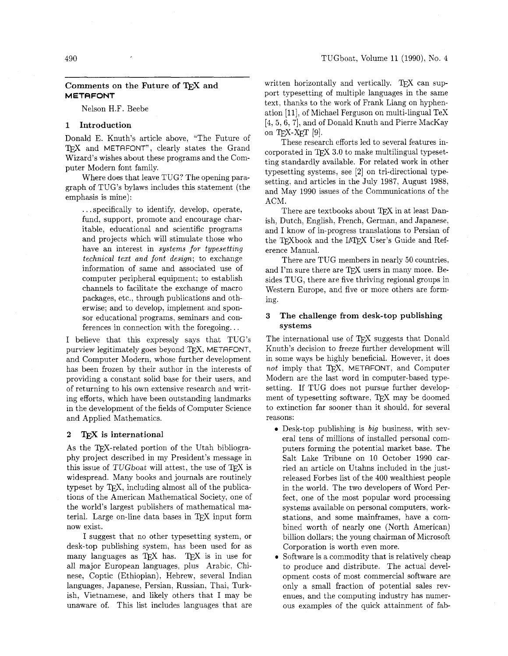# Comments on the Future of TEX and **METAFONT**

Nelson H.F. Beebe

## **1 Introduction**

Donald E. Knuth's article above, "The Future of TFX and METAFONT", clearly states the Grand Wizard's wishes about these programs and the Computer Modern font family.

Where does that leave TUG? The opening paragraph of TUG'S bylaws includes this statement (the emphasis is mine):

. . . specifically to identify, develop, operate, fund, support, promote and encourage charitable, educational and scientific programs and projects which will stimulate those who have an interest in *systems for typesetting technical text and font deszgn;* to exchange information of same and associated use of computer peripheral equipment: to establish channels to facilitate the exchange of macro packages, etc., through publications and otherwise; and to develop, implement and sponsor educational programs, seminars and conferences in connection with the foregoing. . .

I believe that this expressly says that TUG'S purview legitimately goes beyond TFX, METAFONT, and Computer Modern, whose further development has been frozen by their author in the interests of providing a constant solid base for their users, and of returning to his own extensive research and writing efforts, which have been outstanding landmarks in the development of the fields of Computer Science and Applied Mathematics.

### **2** TEX **is international**

As the TFX-related portion of the Utah bibliography project described in my President's message in this issue of TUGboat will attest, the use of TEX is widespread. Many books and journals are routinely typeset by T<sub>E</sub>X, including almost all of the publications of the American Mathematical Society, one of the world's largest publishers of mathematical material. Large on-line data bases in TFX input form now exist.

I suggest that no other typesetting system, or desk-top publishing system, has been used for as many languages as TEX has. TEX is in use for all major European languages, plus Arabic, Chinese, Coptic (Ethiopian), Hebrew, several Indian languages, Japanese, Persian, Russian, Thai, Turkish, Vietnamese, and likely others that I may be unaware of. This list includes languages that are written horizontally and vertically. TEX can support typesetting of multiple languages in the same text, thanks to the work of Frank Liang on hyphenation [ll], of Michael Ferguson on multi-lingual TeX [4, 5, 6, 7], and of Donald Knuth and Pierre MacKay on T<sub>E</sub>X-X<sub>E</sub>T  $[9]$ .

These research efforts led to several features incorporated in TFX 3.0 to make multilingual typesetting standardly available. For related work in other typesetting systems, see [2] on tri-directional typesetting. and articles in the July 1987, August 1988, and May 1990 issues of the Communications of the ACM.

There are textbooks about TFX in at least Danish, Dutch, English, French, German, and Japanese, and I know of in-progress translations to Persian of the TFXbook and the IATFX User's Guide and Reference Manual.

There are TUG members in nearly 50 countries, and I'm sure there are  $T_F X$  users in many more. Besides TUG, there are five thriving regional groups in Western Europe, and five or more others are forming.

# **3 The challenge from desk-top publishing systems**

The international use of TFX suggests that Donald Knuth's decision to freeze further development will in some ways be highly beneficial. However, it does not imply that TEX, METAFONT, and Computer Modern are the last word in computer-based typesetting. If TUG does not pursue further development of typesetting software, TFX may be doomed to extinction far sooner than it should, for several reasons:

- Desk-top publishing is *big* business, with several tens of millions of installed personal computers forming the potential market base. The Salt Lake Tribune on 10 October 1990 carried an article on Utahns included in the justreleased Forbes list of the 400 wealthiest people in the world. The two developers of Word Perfect, one of the most popular word processing systems available on personal computers, workstations, and some mainframes, have a combined worth of nearly one (North American) billion dollars; the young chairman of Microsoft Corporation is worth even more.
- Software is a commodity that is relatively cheap to produce and distribute. The actual development costs of most commercial software are only a small fraction of potential sales revenues, and the computing industry has numerous examples of the quick attainment of fab-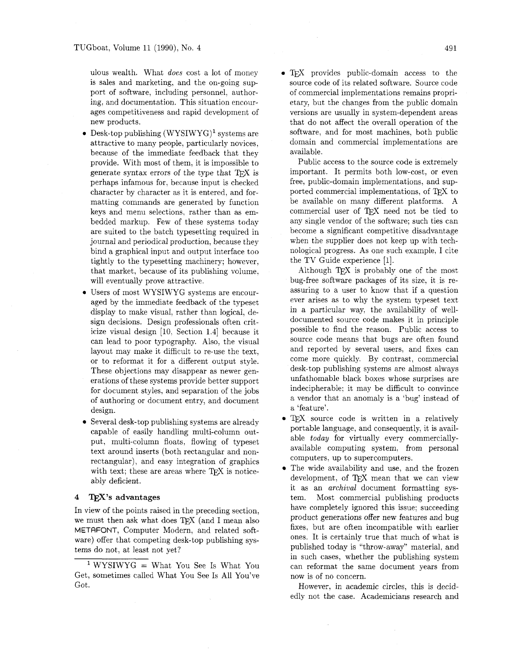ulous wealth. What *does* cost a lot of money is sales and marketing, and the on-going support of software, including personnel. authoring. and documentation. This situation encourages competitiveness and rapid development of new products.

- $\bullet$  Desk-top publishing (WYSIWYG)<sup>1</sup> systems are attractive to many people, particularly novices, because of the immediate feedback that they provide. With most of them, it is impossible to generate syntax errors of the type that  $T_F X$  is perhaps infamous for, because input is checked character by character as it is entered, and formatting commands are generated by function keys and menu selections, rather than as embedded markup. Few of these systems today are suited to the batch typesetting required in journal and periodical production. because they bind a graphical input and output interface too tightly to the typesetting machinery; however, that market, because of its publishing volume, will eventually prove attractive.
- Users of most WYSIWYG systems are encouraged by the immediate feedback of the typeset display to make visual, rather than logical, design decisions. Design professionals often criticize visual design [lo. Section 1.41 because it can lead to poor typography. Also, the visual layout may make it difficult to re-use the text, or to reformat it for a different output style. These objections may disappear as newer generations of these systems provide better support for document styles, and separation of the jobs of authoring or document entry, and document design.
- Several desk-top publishing systems are already capable of easily handling multi-column output, multi-column floats, flowing of typeset text around inserts (both rectangular and nonrectangular), and easy integration of graphics with text; these are areas where TFX is noticeably deficient.

# **<sup>4</sup>**m's **advantages**

In view of the points raised in the preceding section, we must then ask what does TFX (and I mean also METAFONT, Computer Modern, and related software) offer that competing desk-top publishing systems do not, at least not yet?

• TFX provides public-domain access to the source code of its related software. Source code of commercial implementations remains proprietary, but the changes from the public domain versions are usually in system-dependent areas that do not affect the overall operation of the software, and for most machines, both public domain and commercial implementations are available.

Public access to the source code is extremely important. It permits both low-cost, or even free, public-domain implementations, and supported commercial implementations, of TEX to be available on many different platforms. A commercial user of TFX need not be tied to any single vendor of the software; such ties can become a significant competitive disadvantage when the supplier does not keep up with technological progress. As one such example, I cite the TV Guide experience [I].

Although  $TFX$  is probably one of the most bug-free software packages of its size, it is reassuring to a user to know that if a question ever arises as to why the system typeset text in a particular way. the availability of welldocumented source code makes it in principle possible to find the reason. Public access to source code means that bugs are often found and reported by several users, and fixes can come more quickly. By contrast, commercial desk-top publishing systems are almost always unfathomable black boxes whose surprises are indecipherable; it may be difficult to convince a vendor that an anomaly is a 'bug' instead of a 'feature'.

- TEX source code is written in a relatively portable language, and consequently, it is available *today* for virtually every commerciallyavailable computing system, from personal computers, up to supercomputers.
- The wide availability and use, and the frozen development, of TEX mean that we can view it as an *archival* document formatting system. Most commercial publishing products have completely ignored this issue; succeeding product generations offer new features and bug fixes, but are often incompatible with earlier ones. It is certainly true that much of what is published today is "throw-away" material. and in such cases, whether the publishing system can reformat the same document years from now is of no concern.

However, in academic circles, this is decidedly not the case. Academicians research and

WYSIWYG = What You See Is What You Get, sometimes called What You See Is All You've Got.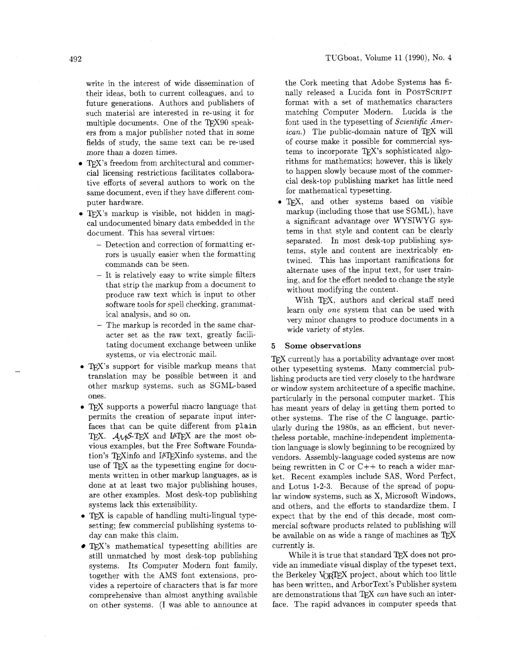write in the interest of wide dissemination of their ideas, both to current colleagues, and to future generations. Authors and publishers of such material are interested in re-using it for multiple documents. One of the TFX90 speakers from a major publisher noted that in some fields of study, the same text can be re-used more than a dozen times.

- TEX's freedom from architectural and commercial licensing restrictions facilitates collaborative efforts of several authors to work on the same document, even if they have different computer hardware.
- TEX's markup is visible, not hidden in magical undocumented binary data embedded in the document. This has several virtues:
	- Detection and correction of formatting errors is usually easier when the formatting commands can be seen.
	- It is relatively easy to write simple filters that strip the markup from a document to produce raw text which is input to other software tools for spell checking, grammatical analysis, and so on.
	- The markup is recorded in the same character set as the raw text, greatly facilitating document exchange between unlike systems, or via electronic mail.
- T<sub>F</sub>X's support for visible markup means that translation may be possible between it and other markup systems, such as SGML-based ones.
- **•** TEX supports a powerful macro language that permits the creation of separate input interfaces that can be quite different from plain TEX. AMS-TEX and IATEX are the most obvious examples, but the Free Software Foundation's TFXinfo and IATFXinfo systems, and the use of TEX as the typesetting engine for documents written in other markup languages, as is done at at least two major publishing houses, are other examples. Most desk-top publishing systems lack this extensibility.
- **0** TFJ is capable of handling multi-lingual typesetting; few commercial publishing systems today can make this claim.
- $\bullet$  T<sub>F</sub>X's mathematical typesetting abilities are still unmatched by most desk-top publishing systems. Its Computer Modern font family, together with the AMS font extensions, provides a repertoire of characters that is far more comprehensive than almost anything available on other systems. (I was able to announce at

the Cork meeting that Adobe Systems has finally released a Lucida font in POSTSCRIPT format with a set of mathematics characters matching Computer Modern. Lucida is the font used in the typesetting of *Scientific American.*) The public-domain nature of TEX will of course make it possible for commercial systems to incorporate TEX's sophisticated algorithms for mathematics; however, this is likely to happen slowly because most of the commercial desk-top publishing market has little need for mathematical typesetting.

• TEX, and other systems based on visible markup (including those that use SGML), have a significant advantage over WYSIWYG systems in that style and content can be clearly separated. In most desk-top publishing systems, style and content are inextricably entwined. This has important ramifications for alternate uses of the input text, for user training, and for the effort needed to change the style without modifying the content.

With TFX, authors and clerical staff need learn only one system that can be used with very minor changes to produce documents in a wide variety of styles.

#### **Some observations**   $5<sub>1</sub>$

'QX currently has a portability advantage over most other typesetting systems. Many commercial publishing products are tied very closely to the hardware or window system architecture of a specific machine, particularly in the personal computer market. This has meant years of delay in getting them ported to other systems. The rise of the C language, particularly during the 1980s, as an efficient, but nevertheless portable, machine-independent implementation language is slowly beginning to be recognized by vendors. Assembly-language coded systems are now being rewritten in C or C++ to reach a wider market. Recent examples include SAS, Word Perfect, and Lotus 1-2-3. Because of the spread of popular window systems, such as X, Microsoft Windows, and others, and the efforts to standardize them. I expect that by the end of this decade, most commercial software products related to publishing will be available on as wide a range of machines as  $T_{\rm F}X$ currently is.

While it is true that standard T<sub>E</sub>X does not provide an immediate visual display of the typeset text, the Berkeley VORTEX project, about which too little has been written, and ArborText's Publisher system are demonstrations that TFJ *can* have such an interface. The rapid advances in computer speeds that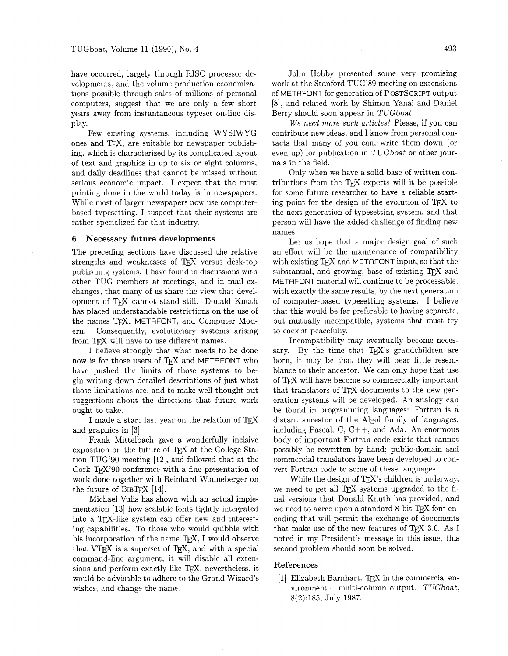have occurred, largely through RISC processor developments, and the volume production economizations possible through sales of millions of personal computers, suggest that we are only a few short years away from instantaneous typeset on-line display.

Few existing systems, including WYSIWYG ones and TFX, are suitable for newspaper publishing, which is characterized by its complicated layout of text and graphics in up to six or eight columns, and daily deadlines that cannot be missed without serious economic impact. I expect that the most printing done in the world today is in newspapers. While most of larger newspapers now use computerbased typesetting, I suspect that their systems are rather specialized for that industry.

### **6 Necessary future developments**

The preceding sections have discussed the relative strengths and weaknesses of TFX versus desk-top publishing systems. I have found in discussions with other TUG members at meetings. and in mail exchanges, that many of us share the view that development of TEX cannot stand still. Donald Knuth has placed understandable restrictions on the use of the names T<sub>E</sub>X, METAFONT, and Computer Modern. Consequently, evolutionary systems arising Consequently, evolutionary systems arising from T<sub>E</sub>X will have to use different names.

I believe strongly that what needs to be done now is for those users of TEX and METAFONT who have pushed the limits of those systems to begin writing down detailed descriptions of just what those limitations are. and to make well thought-out suggestions about the directions that future work ought to take.

I made a start last year on the relation of TFX and graphics in [3].

Frank Mittelbach gave a wonderfully incisive exposition on the future of TEX at the College Station TUG'90 meeting [12], and followed that at the Cork  $T_{F}X'$ 90 conference with a fine presentation of work done together with Reinhard Wonneberger on the future of BIBTFX  $[14]$ .

Michael Vulis has shown with an actual implementation [13] how scalable fonts tightly integrated into a TFX-like system can offer new and interesting capabilities. To those who would quibble with his incorporation of the name TEX, I would observe that  $VTFX$  is a superset of TFX, and with a special command-line argument, it will disable all extensions and perform exactly like TFX; nevertheless, it would be advisable to adhere to the Grand Wizard's wishes, and change the name.

John Hobby presented some very promising work at the Stanford TUG'89 meeting on extensions of METAFONT for generation of POSTSCRIPT output [8]. and related work by Shimon Yanai and Daniel Berry should soon appear in TUGboat.

*We need more such articles!* Please, if you can contribute new ideas, and I know from personal contacts that many of you can, write them down (or even up) for publication in TUGboat or other journals in the field.

Only when we have a solid base of written contributions from the TEX experts will it be possible for some future researcher to have a reliable starting point for the design of the evolution of  $T_{F}X$  to the next generation of typesetting system, and that person will have the added challenge of finding new names!

Let us hope that a major design goal of such an effort will be the maintenance of compatibility with existing T<sub>F</sub>X and METAFONT input, so that the substantial, and growing, base of existing TEX and METAFONT material will continue to be processable, with exactly the same results, by the next generation of computer-based typesetting systems. I believe that this would be far preferable to having separate, but mutually incompatible. systems that must try to coexist peacefully.

Incompatibility may eventually become necessary. By the time that  $TFX$ 's grandchildren are born, it may be that they will bear little resemblance to their ancestor. We can only hope that use of T<sub>F</sub>X will have become so commercially important that translators of TFX documents to the new generation systems will be developed. An analogy can be found in programming languages: Fortran is a distant ancestor of the Algol family of languages. including Pascal, C, C++, and Ada. An enormous body of important Fortran code exists that cannot possibly be rewritten by hand; public-domain and commercial translators have been developed to convert Fortran code to some of these languages.

While the design of  $T_F X$ 's children is underway, we need to get all TFX systems upgraded to the final versions that Donald Knuth has provided, and we need to agree upon a standard 8-bit TEX font encoding that will permit the exchange of documents that make use of the new features of TEX 3.0. As I noted in my President's message in this issue, this second problem should soon be solved.

### **References**

[1] Elizabeth Barnhart.  $Tr[X]$  in the commercial environment - multi-column output.  $TUGboat$ , 8(2):185, July 1987.